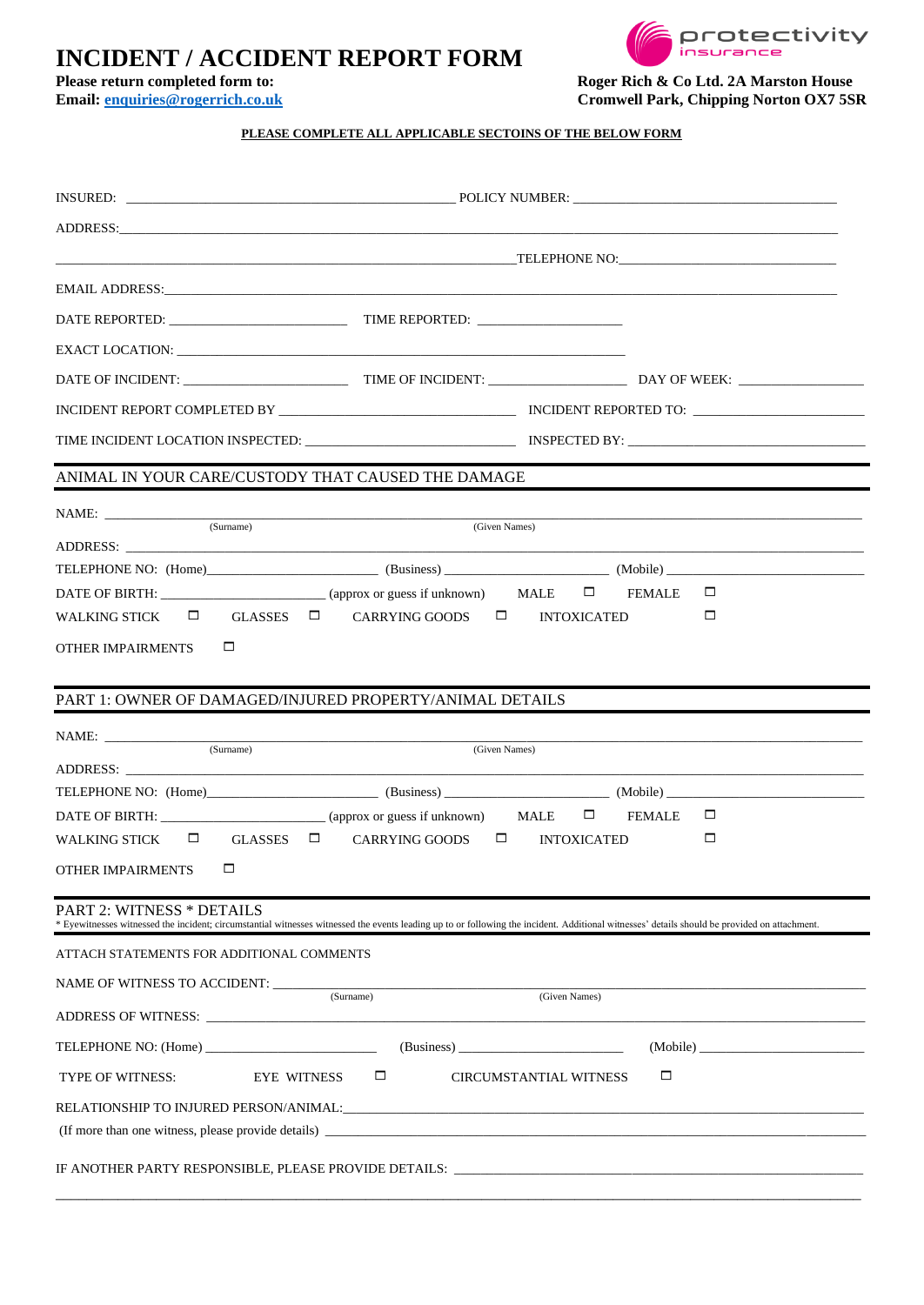## **INCIDENT / ACCIDENT REPORT FORM**<br>Please return completed form to:





**Please return completed form to:** Roger Rich & Co Ltd. 2A Marston House<br>
Email: enquiries@rogerrich.co.uk Cromwell Park, Chipping Norton OX7 5S  $Cromwell Park, Chipping Norton OX7 5SR$ 

## **PLEASE COMPLETE ALL APPLICABLE SECTOINS OF THE BELOW FORM**

|                                            | TIME INCIDENT LOCATION INSPECTED: INSPECTED BY: INSPECTED BY:                                                                                                                                 |  |  |  |  |  |  |  |  |
|--------------------------------------------|-----------------------------------------------------------------------------------------------------------------------------------------------------------------------------------------------|--|--|--|--|--|--|--|--|
|                                            | ANIMAL IN YOUR CARE/CUSTODY THAT CAUSED THE DAMAGE                                                                                                                                            |  |  |  |  |  |  |  |  |
|                                            |                                                                                                                                                                                               |  |  |  |  |  |  |  |  |
|                                            | (Surname)<br>(Given Names)                                                                                                                                                                    |  |  |  |  |  |  |  |  |
|                                            | TELEPHONE NO: (Home) (Business) (Business) (Business (Business (Mobile) (Mobile)                                                                                                              |  |  |  |  |  |  |  |  |
|                                            | DATE OF BIRTH: _________________________(approx or guess if unknown) MALE □ FEMALE<br>□                                                                                                       |  |  |  |  |  |  |  |  |
| <b>WALKING STICK</b>                       | $\Box$ GLASSES $\Box$ CARRYING GOODS $\Box$ INTOXICATED<br>□                                                                                                                                  |  |  |  |  |  |  |  |  |
| □<br>OTHER IMPAIRMENTS                     |                                                                                                                                                                                               |  |  |  |  |  |  |  |  |
|                                            |                                                                                                                                                                                               |  |  |  |  |  |  |  |  |
|                                            | PART 1: OWNER OF DAMAGED/INJURED PROPERTY/ANIMAL DETAILS                                                                                                                                      |  |  |  |  |  |  |  |  |
|                                            |                                                                                                                                                                                               |  |  |  |  |  |  |  |  |
| NAME:                                      | the control of the control of the control of the control of the control of the control of<br>(Surname)<br>(Given Names)                                                                       |  |  |  |  |  |  |  |  |
|                                            |                                                                                                                                                                                               |  |  |  |  |  |  |  |  |
|                                            |                                                                                                                                                                                               |  |  |  |  |  |  |  |  |
|                                            | DATE OF BIRTH: $\Box$ (approx or guess if unknown) MALE $\Box$ FEMALE<br>$\Box$                                                                                                               |  |  |  |  |  |  |  |  |
| <b>WALKING STICK</b>                       | $\Box$ GLASSES $\Box$<br>CARRYING GOODS $\Box$ INTOXICATED<br>□                                                                                                                               |  |  |  |  |  |  |  |  |
| □<br><b>OTHER IMPAIRMENTS</b>              |                                                                                                                                                                                               |  |  |  |  |  |  |  |  |
| <b>PART 2: WITNESS * DETAILS</b>           | * Eyewitnesses witnessed the incident; circumstantial witnesses witnessed the events leading up to or following the incident. Additional witnesses' details should be provided on attachment. |  |  |  |  |  |  |  |  |
| ATTACH STATEMENTS FOR ADDITIONAL COMMENTS  |                                                                                                                                                                                               |  |  |  |  |  |  |  |  |
| NAME OF WITNESS TO ACCIDENT: _____________ |                                                                                                                                                                                               |  |  |  |  |  |  |  |  |
|                                            | (Surname)<br>(Given Names)                                                                                                                                                                    |  |  |  |  |  |  |  |  |
| TELEPHONE NO: (Home)                       | (Business)<br>(Mobile)                                                                                                                                                                        |  |  |  |  |  |  |  |  |
| TYPE OF WITNESS:                           | $\Box$<br>□<br><b>CIRCUMSTANTIAL WITNESS</b><br>EYE WITNESS                                                                                                                                   |  |  |  |  |  |  |  |  |
|                                            |                                                                                                                                                                                               |  |  |  |  |  |  |  |  |
|                                            |                                                                                                                                                                                               |  |  |  |  |  |  |  |  |
|                                            | IF ANOTHER PARTY RESPONSIBLE, PLEASE PROVIDE DETAILS:                                                                                                                                         |  |  |  |  |  |  |  |  |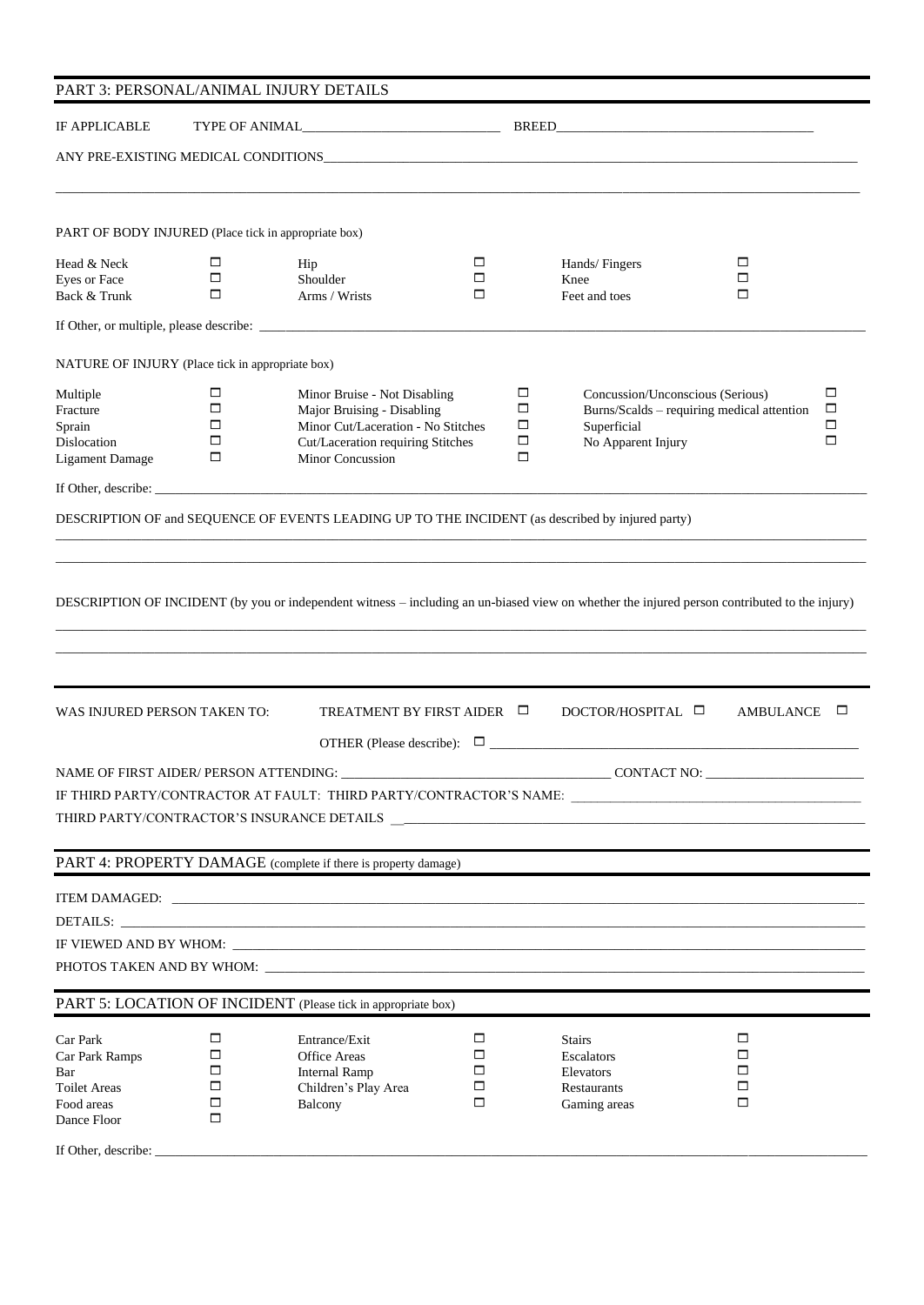| PART 3: PERSONAL/ANIMAL INJURY DETAILS                                                                       |                            |                                                                                                                                                                                                                                            |                       |                                 |                                                                                                                                                             |                       |        |  |  |
|--------------------------------------------------------------------------------------------------------------|----------------------------|--------------------------------------------------------------------------------------------------------------------------------------------------------------------------------------------------------------------------------------------|-----------------------|---------------------------------|-------------------------------------------------------------------------------------------------------------------------------------------------------------|-----------------------|--------|--|--|
| IF APPLICABLE                                                                                                |                            |                                                                                                                                                                                                                                            |                       |                                 |                                                                                                                                                             |                       |        |  |  |
|                                                                                                              |                            |                                                                                                                                                                                                                                            |                       |                                 |                                                                                                                                                             |                       |        |  |  |
| PART OF BODY INJURED (Place tick in appropriate box)                                                         |                            |                                                                                                                                                                                                                                            |                       |                                 |                                                                                                                                                             |                       |        |  |  |
| Head & Neck<br>Eyes or Face<br>Back & Trunk                                                                  | □<br>$\Box$<br>□           | Hip<br>Shoulder<br>Arms / Wrists                                                                                                                                                                                                           | □<br>□<br>□           |                                 | Hands/Fingers<br>Knee<br>Feet and toes                                                                                                                      | □<br>$\Box$<br>□      |        |  |  |
|                                                                                                              |                            |                                                                                                                                                                                                                                            |                       |                                 |                                                                                                                                                             |                       |        |  |  |
| NATURE OF INJURY (Place tick in appropriate box)                                                             |                            |                                                                                                                                                                                                                                            |                       |                                 |                                                                                                                                                             |                       |        |  |  |
| Multiple<br>Fracture<br>Sprain<br>Dislocation<br><b>Ligament Damage</b>                                      | □<br>□<br>□<br>□<br>□      | Minor Bruise - Not Disabling<br>Major Bruising - Disabling<br>Minor Cut/Laceration - No Stitches<br>Cut/Laceration requiring Stitches<br>Minor Concussion                                                                                  |                       | □<br>$\Box$<br>□<br>$\Box$<br>□ | $\Box$<br>Concussion/Unconscious (Serious)<br>$\Box$<br>Burns/Scalds - requiring medical attention<br>$\Box$<br>Superficial<br>$\Box$<br>No Apparent Injury |                       |        |  |  |
|                                                                                                              |                            | If Other, describe: $\frac{1}{2}$ describe:                                                                                                                                                                                                |                       |                                 |                                                                                                                                                             |                       |        |  |  |
|                                                                                                              |                            | DESCRIPTION OF and SEQUENCE OF EVENTS LEADING UP TO THE INCIDENT (as described by injured party)                                                                                                                                           |                       |                                 |                                                                                                                                                             |                       |        |  |  |
| WAS INJURED PERSON TAKEN TO:                                                                                 |                            | DESCRIPTION OF INCIDENT (by you or independent witness - including an un-biased view on whether the injured person contributed to the injury)<br>TREATMENT BY FIRST AIDER □<br>OTHER (Please describe): $\Box$                             |                       |                                 | DOCTOR/HOSPITAL □                                                                                                                                           | AMBULANCE             | $\Box$ |  |  |
| NAME OF FIRST AIDER/ PERSON ATTENDING:                                                                       |                            |                                                                                                                                                                                                                                            |                       |                                 | CONTACT NO:                                                                                                                                                 |                       |        |  |  |
|                                                                                                              |                            |                                                                                                                                                                                                                                            |                       |                                 |                                                                                                                                                             |                       |        |  |  |
|                                                                                                              |                            | PART 4: PROPERTY DAMAGE (complete if there is property damage)                                                                                                                                                                             |                       |                                 |                                                                                                                                                             |                       |        |  |  |
|                                                                                                              |                            | DETAILS:<br>PHOTOS TAKEN AND BY WHOM: UNIVERSITY OF A SERIES AND AN ORDER OF A SERIES OF A SERIES OF A SERIES OF A SERIES OF A SERIES OF A SERIES OF A SERIES OF A SERIES OF A SERIES OF A SERIES OF A SERIES OF A SERIES OF A SERIES OF A |                       |                                 |                                                                                                                                                             |                       |        |  |  |
|                                                                                                              |                            | PART 5: LOCATION OF INCIDENT (Please tick in appropriate box)                                                                                                                                                                              |                       |                                 |                                                                                                                                                             |                       |        |  |  |
| Car Park<br>Car Park Ramps<br>Bar<br><b>Toilet Areas</b><br>Food areas<br>Dance Floor<br>If Other, describe: | □<br>□<br>□<br>□<br>□<br>□ | Entrance/Exit<br><b>Office Areas</b><br><b>Internal Ramp</b><br>Children's Play Area<br>Balcony                                                                                                                                            | □<br>□<br>□<br>□<br>□ |                                 | <b>Stairs</b><br>Escalators<br>Elevators<br>Restaurants<br>Gaming areas                                                                                     | □<br>□<br>□<br>□<br>□ |        |  |  |
|                                                                                                              |                            |                                                                                                                                                                                                                                            |                       |                                 |                                                                                                                                                             |                       |        |  |  |